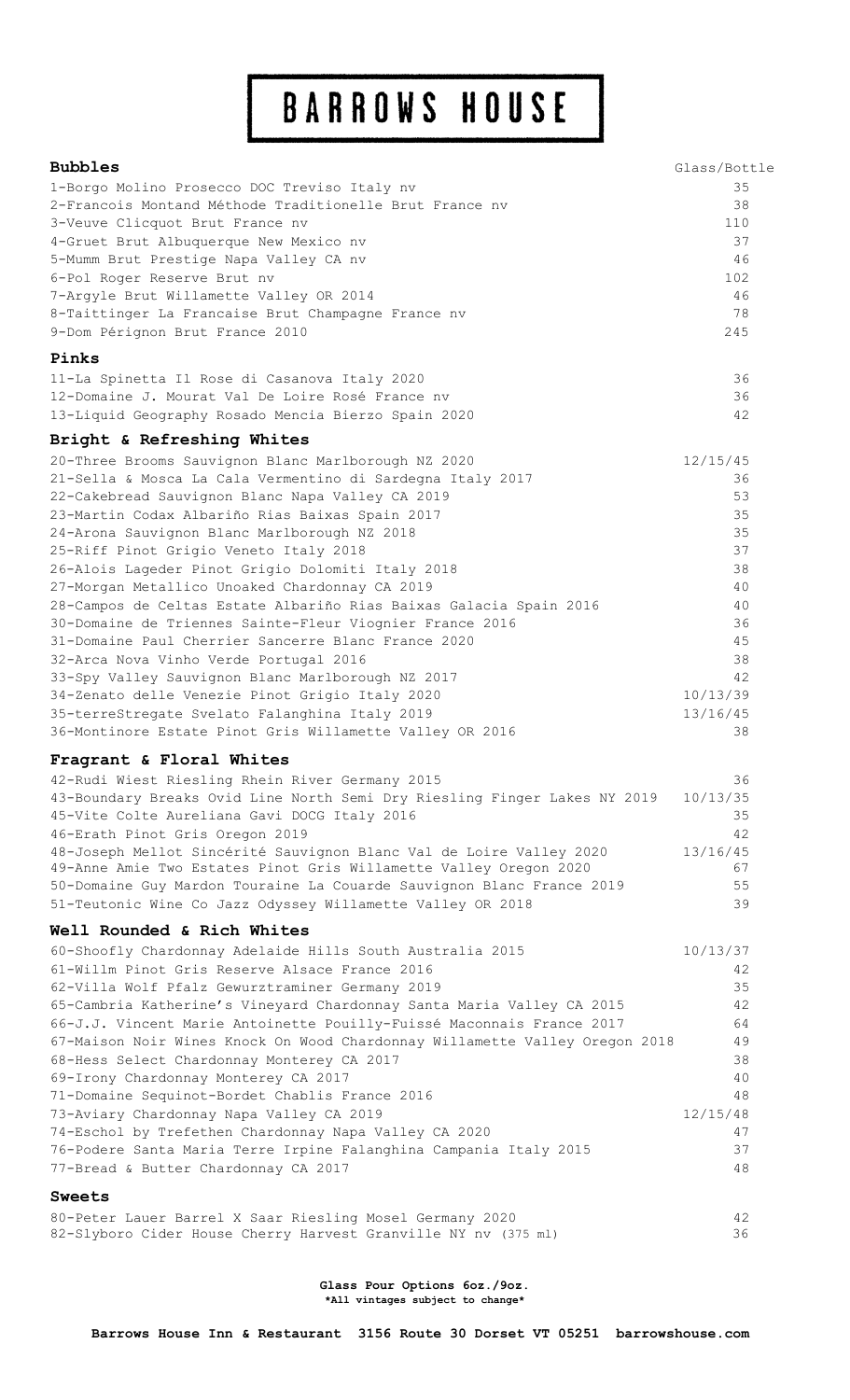# BARROWS HOUSE

| <b>Bubbles</b>                                                              | Glass/Bottle |
|-----------------------------------------------------------------------------|--------------|
| 1-Borgo Molino Prosecco DOC Treviso Italy nv                                | 35           |
| 2-Francois Montand Méthode Traditionelle Brut France ny                     | 38           |
| 3-Veuve Clicquot Brut France nv                                             | 110          |
| 4-Gruet Brut Albuquerque New Mexico nv                                      | 37           |
| 5-Mumm Brut Prestige Napa Valley CA nv                                      | 46           |
| 6-Pol Roger Reserve Brut nv                                                 | 102          |
| 7-Argyle Brut Willamette Valley OR 2014                                     | 46           |
| 8-Taittinger La Francaise Brut Champagne France nv                          | 78           |
| 9-Dom Pérignon Brut France 2010                                             | 245          |
| Pinks                                                                       |              |
| 11-La Spinetta Il Rose di Casanova Italy 2020                               | 36           |
| 12-Domaine J. Mourat Val De Loire Rosé France ny                            | 36           |
| 13-Liquid Geography Rosado Mencia Bierzo Spain 2020                         | 42           |
| Bright & Refreshing Whites                                                  |              |
| 20-Three Brooms Sauvignon Blanc Marlborough NZ 2020                         | 12/15/45     |
| 21-Sella & Mosca La Cala Vermentino di Sardegna Italy 2017                  | 36           |
| 22-Cakebread Sauvignon Blanc Napa Valley CA 2019                            | 53           |
| 23-Martin Codax Albariño Rias Baixas Spain 2017                             | 35           |
| 24-Arona Sauvignon Blanc Marlborough NZ 2018                                | 35           |
| 25-Riff Pinot Grigio Veneto Italy 2018                                      | 37           |
| 26-Alois Lageder Pinot Grigio Dolomiti Italy 2018                           | 38           |
| 27-Morgan Metallico Unoaked Chardonnay CA 2019                              | 40           |
| 28-Campos de Celtas Estate Albariño Rias Baixas Galacia Spain 2016          | 40           |
| 30-Domaine de Triennes Sainte-Fleur Viognier France 2016                    | 36           |
| 31-Domaine Paul Cherrier Sancerre Blanc France 2020                         | 45           |
| 32-Arca Nova Vinho Verde Portugal 2016                                      | 38           |
| 33-Spy Valley Sauvignon Blanc Marlborough NZ 2017                           | 42           |
| 34-Zenato delle Venezie Pinot Grigio Italy 2020                             | 10/13/39     |
| 35-terreStregate Svelato Falanghina Italy 2019                              | 13/16/45     |
| 36-Montinore Estate Pinot Gris Willamette Valley OR 2016                    | 38           |
| Fragrant & Floral Whites                                                    |              |
| 42-Rudi Wiest Riesling Rhein River Germany 2015                             | 36           |
| 43-Boundary Breaks Ovid Line North Semi Dry Riesling Finger Lakes NY 2019   | 10/13/35     |
| 45-Vite Colte Aureliana Gavi DOCG Italy 2016                                | 35           |
| 46-Erath Pinot Gris Oregon 2019                                             | 42           |
| 48-Joseph Mellot Sincérité Sauvignon Blanc Val de Loire Valley 2020         | 13/16/45     |
| 49-Anne Amie Two Estates Pinot Gris Willamette Valley Oregon 2020           | 67           |
| 50-Domaine Guy Mardon Touraine La Couarde Sauvignon Blanc France 2019       | 55           |
| 51-Teutonic Wine Co Jazz Odyssey Willamette Valley OR 2018                  | 39           |
| Well Rounded & Rich Whites                                                  |              |
| 60-Shoofly Chardonnay Adelaide Hills South Australia 2015                   | 10/13/37     |
| 61-Willm Pinot Gris Reserve Alsace France 2016                              | 42           |
| 62-Villa Wolf Pfalz Gewurztraminer Germany 2019                             | 35           |
| 65-Cambria Katherine's Vineyard Chardonnay Santa Maria Valley CA 2015       | 42           |
| 66-J.J. Vincent Marie Antoinette Pouilly-Fuissé Maconnais France 2017       | 64           |
| 67-Maison Noir Wines Knock On Wood Chardonnay Willamette Valley Oregon 2018 | 49           |
| 68-Hess Select Chardonnay Monterey CA 2017                                  | 38           |
| 69-Irony Chardonnay Monterey CA 2017                                        | 40<br>48     |
| 71-Domaine Sequinot-Bordet Chablis France 2016                              |              |
| 73-Aviary Chardonnay Napa Valley CA 2019                                    | 12/15/48     |
| 74-Eschol by Trefethen Chardonnay Napa Valley CA 2020                       | 47           |
| 76-Podere Santa Maria Terre Irpine Falanghina Campania Italy 2015           | 37<br>48     |
| 77-Bread & Butter Chardonnay CA 2017                                        |              |
| <b>Sweets</b>                                                               |              |
| 80-Peter Lauer Barrel X Saar Riesling Mosel Germany 2020                    | 42           |

**Glass Pour Options 6oz./9oz. \*All vintages subject to change\***

82-Slyboro Cider House Cherry Harvest Granville NY nv (375 ml) 36